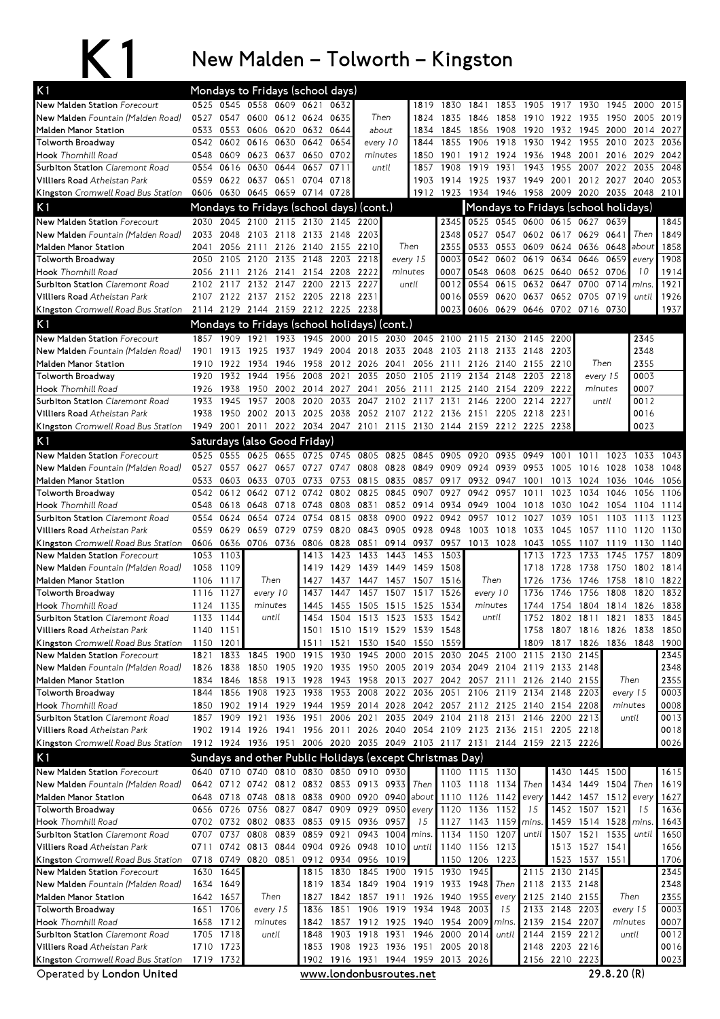## K1 New Malden – Tolworth – Kingston

| K <sub>1</sub>                                                       |              |              | Mondays to Fridays (school days)                         |       |              |                         |                                    |                     |                |              |                                                                            |                   |                          |                        |                                      |              |                |              |
|----------------------------------------------------------------------|--------------|--------------|----------------------------------------------------------|-------|--------------|-------------------------|------------------------------------|---------------------|----------------|--------------|----------------------------------------------------------------------------|-------------------|--------------------------|------------------------|--------------------------------------|--------------|----------------|--------------|
| New Malden Station Forecourt                                         |              |              | 0525 0545 0558 0609 0621                                 |       |              | 0632                    |                                    |                     | 1819           | 1830         | 1841                                                                       | 1853              | 1905                     | 1917                   | 1930                                 | 1945         | 2000           | 2015         |
| New Malden Fountain (Malden Road)                                    | 0527         | 0547         | 0600                                                     |       | 0612 0624    | 0635                    |                                    | Then                | 1824           | 1835         | 1846                                                                       | 1858              | 1910                     | 1922                   | 1935                                 | 1950         | 2005           | 2019         |
| Malden Manor Station                                                 | 0533         | 0553         | 0606                                                     | 0620  | 0632 0644    |                         |                                    | about               | 1834           | 1845         | 1856                                                                       | 1908              | 1920                     | 1932                   | 1945                                 | 2000         | 2014           | 2027         |
| Tolworth Broadway                                                    | 0542         | 0602         | 0616                                                     | 0630  | 0642         | 0654                    |                                    | every 10            | 1844           | 1855         | 1906                                                                       | 1918              | 1930                     | 1942                   | 1955                                 | 2010         | 2023           | 2036         |
| <b>Hook</b> Thornhill Road                                           | 0548         | 0609         | 0623                                                     | 0637  |              | 0650 0702               |                                    | minutes             | 1850           | 1901         | 1912                                                                       | 1924              | 1936                     | 1948                   | 2001                                 | 2016         | 2029           | 2042         |
| Surbiton Station Claremont Road                                      | 0554         | 0616         | 0630                                                     | 0644  | 0657         | 0711                    |                                    | until               | 1857           | 1908         | 1919                                                                       | 1931              | 1943                     | 1955                   | 2007                                 | 2022         | 2035           | 2048         |
| Villiers Road Athelstan Park                                         |              |              | 0559 0622 0637 0651                                      |       |              | 0704 0718               |                                    |                     | 1903           |              | 1914 1925 1937                                                             |                   | 1949 2001                |                        | 2012 2027 2040                       |              |                | 2053         |
| Kingston Cromwell Road Bus Station                                   |              |              | 0606 0630 0645 0659 0714 0728                            |       |              |                         |                                    |                     | 1912           |              | 1923 1934 1946                                                             |                   | 1958                     |                        | 2009 2020 2035                       |              | 2048 2101      |              |
| K <sub>1</sub>                                                       |              |              | Mondays to Fridays (school days) (cont.)                 |       |              |                         |                                    |                     |                |              |                                                                            |                   |                          |                        | Mondays to Fridays (school holidays) |              |                |              |
| New Malden Station Forecourt                                         | 2030         |              | 2045 2100 2115 2130 2145 2200                            |       |              |                         |                                    |                     |                | 2345         |                                                                            |                   |                          |                        | 0525 0545 0600 0615 0627 0639        |              |                | 1845         |
| New Malden Fountain (Malden Road)                                    | 2033         | 2048         | 2103                                                     | 2118  |              | 2133 2148               | 2203                               |                     |                | 2348         | 0527                                                                       | 0547              |                          | 0602 0617              | 0629                                 | 0641         | Then           | 1849         |
| Malden Manor Station                                                 | 2041         | 2056         | 2111                                                     | 2126  | 2140 2155    |                         | 2210                               |                     | Then           | 2355         | 0533                                                                       | 0553              | 0609                     | 0624                   | 0636                                 | 0648         | about          | 1858         |
| <b>Tolworth Broadway</b>                                             | 2050         | 2105         | 2120                                                     | 2135  | 2148         | 2203<br>2154 2208       | 2218<br>2222                       |                     | every 15       | 0003<br>0007 | 0542<br>0548                                                               | 0602              | 0619                     | 0634                   | 0646                                 | 0659<br>0706 | every<br>10    | 1908         |
| <b>Hook</b> Thornhill Road<br><b>Surbiton Station</b> Claremont Road | 2056<br>2102 | 2111         | 2126<br>2117 2132 2147                                   | 2141  | 2200         | 2213                    | 2227                               | minutes             | until          | 0012         | 0554                                                                       | 0608<br>0615      | 0632 0647                | 0625 0640              | 0652<br>0700                         | 0714         | mins.          | 1914<br>1921 |
| Villiers Road Athelstan Park                                         |              |              | 2107 2122 2137 2152 2205 2218                            |       |              |                         | 2231                               |                     |                | 0016         | 0559                                                                       | 0620              | 0637                     |                        | 0652 0705                            | 0719         | until          | 1926         |
| Kingston Cromwell Road Bus Station                                   |              |              | 2114 2129 2144 2159 2212 2225                            |       |              |                         | 2238                               |                     |                | 0023         |                                                                            | 0606 0629         |                          |                        | 0646 0702 0716                       | 0730         |                | 1937         |
| K <sub>1</sub>                                                       |              |              | Mondays to Fridays (school holidays) (cont.)             |       |              |                         |                                    |                     |                |              |                                                                            |                   |                          |                        |                                      |              |                |              |
|                                                                      |              |              | 1857 1909 1921 1933 1945 2000                            |       |              |                         |                                    | 2015 2030 2045 2100 |                |              |                                                                            |                   |                          |                        |                                      |              | 2345           |              |
| New Malden Station Forecourt<br>New Malden Fountain (Malden Road)    | 1901         | 1913         | 1925                                                     | 1937  | 1949         | 2004                    | 2018                               | 2033                | 2048           | 2103         | 2118                                                                       | 2115 2130<br>2133 | 2145<br>2148             | 2200<br>2203           |                                      |              | 2348           |              |
| Malden Manor Station                                                 | 1910         | 1922         | 1934                                                     | 1946  | 1958         | 2012                    | 2026                               | 2041                | 2056           | 2111         | 2126                                                                       | 2140              | 2155                     | 2210                   | Then                                 |              | 2355           |              |
| Tolworth Broadway                                                    | 1920         | 1932         | 1944                                                     | 1956  | 2008         | 2021                    | 2035                               | 2050                | 2105           | 2119         | 2134                                                                       | 2148              | 2203                     | 2218                   | every 15                             |              | 0003           |              |
| <b>Hook</b> Thornhill Road                                           | 1926         | 1938         | 1950                                                     | 2002  |              | 2014 2027               | 2041                               |                     | 2056 2111      | 2125         | 2140                                                                       | 2154              | 2209                     | 2222                   | minutes                              |              | 0007           |              |
| Surbiton Station Claremont Road                                      | 1933         | 1945         | 1957                                                     | 2008  | 2020         | 2033                    | 2047                               |                     | 2102 2117      | 2131         | 2146                                                                       | 2200              | 2214                     | 2227                   | until                                |              | 0012           |              |
| Villiers Road Athelstan Park                                         | 1938         |              |                                                          |       |              |                         |                                    |                     |                |              | 1950 2002 2013 2025 2038 2052 2107 2122 2136 2151 2205                     |                   | 2218                     | 2231                   |                                      |              | 0016           |              |
| Kingston Cromwell Road Bus Station                                   |              |              |                                                          |       |              |                         |                                    |                     |                |              | 1949 2001 2011 2022 2034 2047 2101 2115 2130 2144 2159 2212 2225 2238      |                   |                          |                        |                                      |              | 0023           |              |
| K <sub>1</sub>                                                       |              |              | Saturdays (also Good Friday)                             |       |              |                         |                                    |                     |                |              |                                                                            |                   |                          |                        |                                      |              |                |              |
| New Malden Station Forecourt                                         | 0525         | 0555         | 0625                                                     | 0655  | 0725         |                         | 0745 0805                          | 0825                | 0845           | 0905         | 0920                                                                       | 0935              | 0949                     | 1001                   | 1011                                 | 1023         | 1033           | 1043         |
| New Malden Fountain (Malden Road)                                    | 0527         | 0557         | 0627                                                     | 0657  | 0727         | 0747                    | 0808                               | 0828 0849           |                | 0909         | 0924                                                                       | 0939              | 0953                     | 1005                   | 1016                                 | 1028         | 1038           | 1048         |
| Malden Manor Station                                                 | 0533         | 0603         | 0633                                                     | 0703  | 0733         | 0753                    | 0815                               | 0835                | 0857           | 0917         | 0932 0947                                                                  |                   | 1001                     | 1013                   | 1024                                 | 1036         | 1046           | 1056         |
| Tolworth Broadway                                                    | 0542         | 0612         | 0642                                                     | 0712  | 0742         | 0802                    | 0825                               | 0845                | 0907           | 0927         | 0942                                                                       | 0957              | 1011                     | 1023                   | 1034                                 | 1046         | 1056           | 1106         |
| <b>Hook</b> Thornhill Road                                           | 0548         | 0618         | 0648                                                     | 0718  | 0748         | 0808                    | 0831                               |                     | 0852 0914      | 0934         | 0949                                                                       | 1004              | 1018                     | 1030                   | 1042                                 | 1054         | 1104           | 1114         |
| Surbiton Station Claremont Road                                      | 0554         | 0624         | 0654                                                     | 0724  | 0754         | 0815                    | 0838                               | 0900                | 0922           | 0942         | 0957                                                                       | 1012              | 1027                     | 1039                   | 1051                                 | 1103         | 1113           | 1123         |
| Villiers Road Athelstan Park                                         | 0559         | 0629         | 0659                                                     | 0729  | 0759         | 0820                    | 0843                               |                     | 0905 0928      | 0948         | 1003                                                                       | 1018              | 1033                     | 1045                   | 1057                                 | 1110         | 1120           | 1130         |
| <b>Kingston</b> Cromwell Road Bus Station                            |              |              | 0606 0636 0706 0736                                      |       | 0806 0828    |                         | 0851                               |                     | 0914 0937      |              | 0957 1013 1028                                                             |                   | 1043                     | 1055                   | 1107                                 | 1119         | 1130           | 1140         |
| New Malden Station Forecourt                                         | 1053         | 1103         |                                                          |       | 1413         | 1423                    | 1433                               | 1443                | 1453           | 1503         |                                                                            |                   | 1713                     | 1723                   | 1733                                 | 1745         | 1757           | 1809         |
| New Malden Fountain (Malden Road)                                    | 1058         | 1109         |                                                          |       | 1419         | 1429                    | 1439                               | 1449 1459           |                | 1508         |                                                                            |                   | 1718                     | 1728                   | 1738                                 | 1750         | 1802           | 1814         |
| Malden Manor Station                                                 | 1106         | 1117         | Then                                                     |       | 1427         | 1437                    | 1447                               | 1457                | 1507           | 1516         | Then                                                                       |                   | 1726                     | 1736                   | 1746                                 | 1758         | 1810           | 1822         |
| <b>Tolworth Broadwav</b>                                             | 1116         | 1127         | every 10                                                 |       | 1437         | 1447                    | 1457                               | 1507                | 1517           | 1526         | every 10                                                                   |                   | 1736                     | 1746                   | 1756                                 | 1808         | 1820           | 1832         |
| <b>Hook</b> Thornhill Road<br><b>Surbiton Station</b> Claremont Road | 1124<br>1133 | 1135<br>1144 | minutes<br>until                                         |       | 1445<br>1454 | 1455<br>1504            | 1505<br>1513                       | 1515<br>1523 1533   | 1525           | 1534<br>1542 | minutes<br>until                                                           |                   | 1744                     | 1754<br>1752 1802 1811 | 1804                                 | 1814<br>1821 | 1826<br>1833   | 1838<br>1845 |
| Villiers Road Athelstan Park                                         |              | 1140 1151    |                                                          |       |              |                         | 1501 1510 1519 1529 1539 1548      |                     |                |              |                                                                            |                   |                          |                        | 1758 1807 1816 1826 1838             |              |                | 1850         |
| Kingston Cromwell Road Bus Station                                   |              | 1150 1201    |                                                          |       |              |                         | 1511 1521 1530 1540 1550           |                     |                | 1559         |                                                                            |                   |                          |                        | 1809 1817 1826 1836 1848             |              |                | 1900         |
| New Malden Station Forecourt                                         | 1821         | 1833 1845    |                                                          | 1900  |              | 1915 1930               | 1945 2000 2015                     |                     |                |              | 2030 2045 2100 2115 2130                                                   |                   |                          |                        | 2145                                 |              |                | 2345         |
| New Malden Fountain (Malden Road)                                    |              | 1826 1838    | 1850                                                     |       |              |                         |                                    |                     |                |              | 1905 1920 1935 1950 2005 2019 2034 2049 2104 2119 2133 2148                |                   |                          |                        |                                      |              |                | 2348         |
| Malden Manor Station                                                 |              | 1834 1846    | 1858                                                     |       |              |                         |                                    |                     |                |              | 1913 1928 1943 1958 2013 2027 2042 2057 2111 2126 2140 2155                |                   |                          |                        |                                      |              | Then           | 2355         |
| Tolworth Broadway                                                    |              | 1844 1856    | 1908                                                     | 1923  | 1938         |                         | 1953 2008 2022 2036                |                     |                | 2051         |                                                                            |                   | 2106 2119 2134 2148 2203 |                        |                                      |              | every 15       | 0003         |
| <b>Hook</b> Thornhill Road                                           |              |              |                                                          |       |              |                         |                                    |                     |                |              | 1850 1902 1914 1929 1944 1959 2014 2028 2042 2057 2112 2125 2140 2154 2208 |                   |                          |                        |                                      |              | minutes        | 0008         |
| Surbiton Station Claremont Road                                      |              | 1857 1909    | 1921                                                     | 1936  |              |                         | 1951 2006 2021                     |                     |                |              | 2035 2049 2104 2118 2131 2146 2200 2213                                    |                   |                          |                        |                                      |              | until          | 0013         |
| Villiers Road Athelstan Park                                         |              |              |                                                          |       |              |                         |                                    |                     |                |              | 1902 1914 1926 1941 1956 2011 2026 2040 2054 2109 2123 2136 2151 2205 2218 |                   |                          |                        |                                      |              |                | 0018         |
| Kingston Cromwell Road Bus Station                                   |              |              | 1912 1924 1936 1951                                      |       |              |                         |                                    |                     |                |              | 2006 2020 2035 2049 2103 2117 2131 2144 2159 2213 2226                     |                   |                          |                        |                                      |              |                | 0026         |
| K1                                                                   |              |              | Sundays and other Public Holidays (except Christmas Day) |       |              |                         |                                    |                     |                |              |                                                                            |                   |                          |                        |                                      |              |                |              |
| New Malden Station Forecourt                                         |              |              | 0640 0710 0740 0810 0830 0850 0910 0930                  |       |              |                         |                                    |                     |                |              | 1100 1115 1130                                                             |                   |                          | 1430                   | 1445 1500                            |              |                | 1615         |
| New Malden Fountain (Malden Road)                                    |              |              | 0642 0712 0742 0812 0832 0853 0913 0933                  |       |              |                         |                                    |                     | Then           |              | 1103 1118 1134                                                             |                   | Then                     |                        | 1434 1449 1504                       |              | Then           | 1619         |
| Malden Manor Station                                                 |              |              | 0648 0718 0748 0818 0838 0900 0920 0940 about            |       |              |                         |                                    |                     |                |              | 1110 1126 1142                                                             |                   | every                    |                        | 1442 1457 1512                       |              | every          | 1627         |
| <b>Tolworth Broadway</b>                                             |              |              | 0656 0726 0756 0827                                      |       |              |                         | 0847 0909 0929 0950 every          |                     |                |              | 1120 1136 1152                                                             |                   | 15                       |                        | 1452 1507 1521                       |              | 15             | 1636         |
| <b>Hook</b> Thornhill Road<br><b>Surbiton Station Claremont Road</b> |              | 0707 0737    | 0702 0732 0802 0833<br>0808                              | 0839  |              | 0859 0921               | 0853 0915 0936 0957<br>0943        | 1004                | 15<br>mins.    |              | 1127 1143 1159<br>1134 1150 1207                                           |                   | mins.<br>until           | 1507                   | 1459 1514 1528<br>1521 1535          |              | mins.<br>until | 1643<br>1650 |
| Villiers Road Athelstan Park                                         |              |              | 0711 0742 0813 0844 0904 0926 0948 1010 until            |       |              |                         |                                    |                     |                |              | 1140 1156 1213                                                             |                   |                          |                        | 1513 1527 1541                       |              |                | 1656         |
| Kingston Cromwell Road Bus Station                                   |              |              | 0718 0749 0820 0851 0912 0934 0956 1019                  |       |              |                         |                                    |                     |                |              | 1150 1206 1223                                                             |                   |                          |                        | 1523 1537 1551                       |              |                | 1706         |
| New Malden Station Forecourt                                         | 1630         | 1645         |                                                          |       |              | 1815 1830               | 1845                               |                     | 1900 1915 1930 |              | 1945                                                                       |                   |                          | 2115 2130              | 2145                                 |              |                | 2345         |
| New Malden Fountain (Malden Road)                                    |              | 1634 1649    |                                                          |       |              |                         | 1819 1834 1849 1904 1919 1933 1948 |                     |                |              |                                                                            | Then              |                          | 2118 2133 2148         |                                      |              |                | 2348         |
| Malden Manor Station                                                 |              | 1642 1657    | Then                                                     |       |              |                         | 1827 1842 1857 1911 1926           |                     |                |              | 1940 1955 every 2125 2140 2155                                             |                   |                          |                        |                                      |              | Then           | 2355         |
| Tolworth Broadway                                                    |              | 1651 1706    | every 15                                                 |       | 1836         |                         | 1851 1906                          | 1919 1934           |                | 1948         | 2003                                                                       | 15                |                          | 2133 2148 2203         |                                      |              | every 15       | 0003         |
| Hook Thornhill Road                                                  |              | 1658 1712    | minutes                                                  |       |              |                         | 1842 1857 1912 1925 1940           |                     |                | 1954 2009    |                                                                            | mins.             |                          | 2139 2154 2207         |                                      |              | minutes        | 0007         |
| Surbiton Station Claremont Road                                      |              | 1705 1718    |                                                          | until | 1848         |                         | 1903 1918 1931 1946                |                     |                | 2000 2014    |                                                                            | until             |                          | 2144 2159 2212         |                                      |              | until          | 0012         |
| Villiers Road Athelstan Park                                         |              | 1710 1723    |                                                          |       |              |                         | 1853 1908 1923 1936 1951 2005 2018 |                     |                |              |                                                                            |                   |                          | 2148 2203 2216         |                                      |              |                | 0016         |
| Kingston Cromwell Road Bus Station                                   |              | 1719 1732    |                                                          |       |              |                         | 1902 1916 1931 1944 1959 2013 2026 |                     |                |              |                                                                            |                   |                          | 2156 2210 2223         |                                      |              |                | 0023         |
| Operated by London United                                            |              |              |                                                          |       |              | WWW Iondonbusroutes net |                                    |                     |                |              |                                                                            |                   |                          |                        |                                      | 29820(R)     |                |              |

Operated by London United

<u>www.londonbusroutes.net</u>